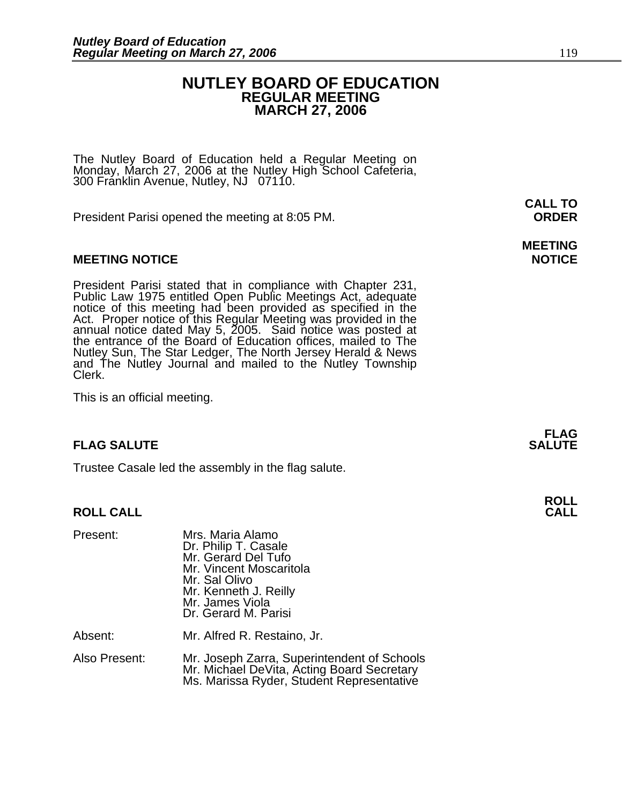### **NUTLEY BOARD OF EDUCATION REGULAR MEETING MARCH 27, 2006**

The Nutley Board of Education held a Regular Meeting on Monday, March 27, 2006 at the Nutley High School Cafeteria, 300 Franklin Avenue, Nutley, NJ 07110.

President Parisi opened the meeting at 8:05 PM. **ORDER**

#### **MEETING NOTICE NOTICE AND RESERVE ASSESS**

President Parisi stated that in compliance with Chapter 231,<br>Public Law 1975 entitled Open Public Meetings Act, adequate<br>notice of this meeting had been provided as specified in the<br>Act. Proper notice of this Regular Meeti annual notice dated May 5, 2005. Said notice was posted at<br>the entrance of the Board of Education offices, mailed to The Nutley Sun, The Star Ledger, The North Jersey Herald & News and The Nutley Journal and mailed to the Nutley Township Clerk.

This is an official meeting.

#### **FLAG SALUTE SALUTE SALUTE**

Trustee Casale led the assembly in the flag salute.

#### **ROLL CALL**

| Present:      | Mrs. Maria Alamo<br>Dr. Philip T. Casale<br>Mr. Gerard Del Tufo<br>Mr. Vincent Moscaritola<br>Mr. Sal Olivo<br>Mr. Kenneth J. Reilly<br>Mr. James Viola<br>Dr. Gerard M. Parisi |
|---------------|---------------------------------------------------------------------------------------------------------------------------------------------------------------------------------|
| Absent:       | Mr. Alfred R. Restaino, Jr.                                                                                                                                                     |
| Also Present: | Mr. Joseph Zarra, Superintendent of Schools<br>Mr. Michael DeVita, Acting Board Secretary<br>Ms. Marissa Ryder, Student Representative                                          |

**CALL TO** 

## **MEETING**

**FLAG** 

**ROLL**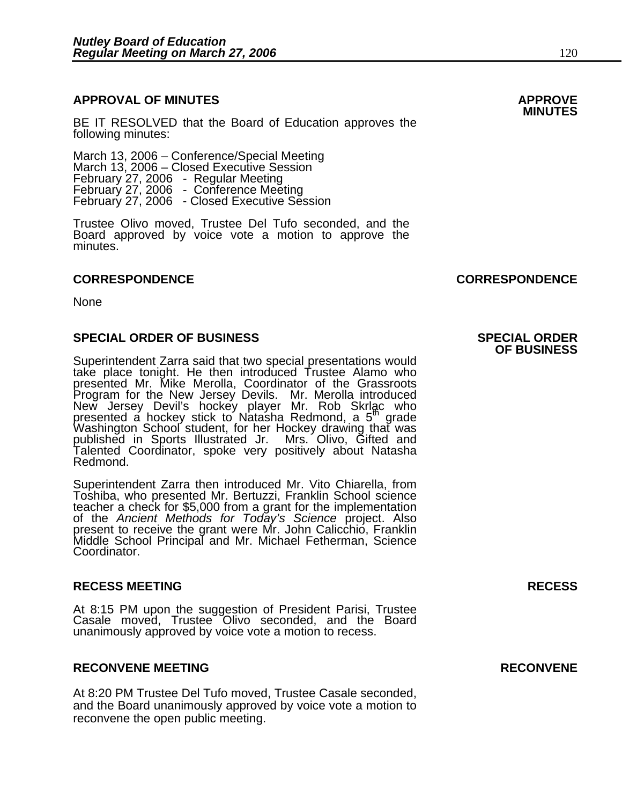### **APPROVAL OF MINUTES APPROVE**

**BE IT RESOLVED that the Board of Education approves the <b>MINUTES**<br>following minutes:

March 13, 2006 – Conference/Special Meeting<br>March 13, 2006 – Closed Executive Session<br>February 27, 2006 - Regular Meeting February 27, 2006 - Conference Meeting<br>February 27, 2006 - Closed Executive Session

Trustee Olivo moved, Trustee Del Tufo seconded, and the Board approved by voice vote a motion to approve the minutes.

#### **CORRESPONDENCE CORRESPONDENCE**

None

#### **SPECIAL ORDER OF BUSINESS SPECIAL ORDER**

Superintendent Zarra said that two special presentations would take place tonight. He then introduced Trustee Alamo who presented Mr. Mike Merolla, Coordinator of the Grassroots Program for the New Jersey Devils. Mr. Merolla introduced New Jersey Devil's hockey player Mr. Rob Skrlac who presented a hockey stick to Natasha Redmond, a 5<sup>th</sup> grade Washington School student, for her Hockey drawing that was published in Sports Illustrated Jr. Mrs. Olivo, Gifted and Talented Coordinator, spoke very positively about Natasha<br>Redmond.

Superintendent Zarra then introduced Mr. Vito Chiarella, from Toshiba, who presented Mr. Bertuzzi, Franklin School science<br>teacher a check for \$5,000 from a grant for the implementation<br>of the *Ancient Methods for Today's Science* project. Also<br>present to receive the grant were Mr. J Middle School Principal and Mr. Michael Fetherman, Science Coordinator.

#### **RECESS MEETING RECESS**

At 8:15 PM upon the suggestion of President Parisi, Trustee Casale moved, Trustee Olivo seconded, and the Board unanimously approved by voice vote a motion to recess.

#### **RECONVENE MEETING RECONVENE**

At 8:20 PM Trustee Del Tufo moved, Trustee Casale seconded, and the Board unanimously approved by voice vote a motion to reconvene the open public meeting.

## **OF BUSINESS**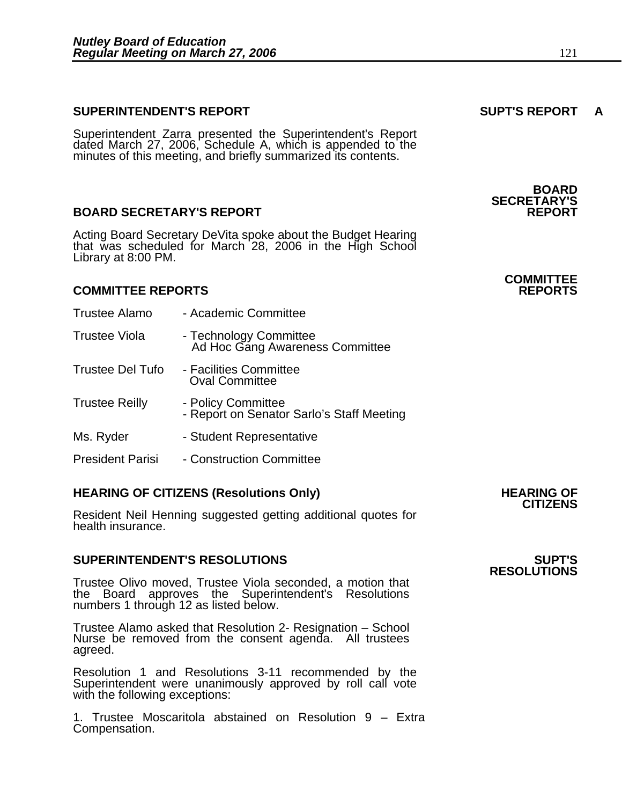#### **SUPERINTENDENT'S REPORT SUPT'S REPORT A**

Superintendent Zarra presented the Superintendent's Report dated March 27, 2006, Schedule A, which is appended to the minutes of this meeting, and briefly summarized its contents.

#### **BOARD SECRETARY'S REPORT**

Acting Board Secretary DeVita spoke about the Budget Hearing that was scheduled for March 28, 2006 in the High School Library at 8:00 PM.

#### **COMMITTEE REPORTS REPORTS**

Trustee Alamo - Academic Committee Trustee Viola - Technology Committee Ad Hoc Gang Awareness Committee Trustee Del Tufo - Facilities Committee Oval Committee Trustee Reilly - Policy Committee - Report on Senator Sarlo's Staff Meeting Ms. Ryder **- Student Representative** President Parisi - Construction Committee

### **HEARING OF CITIZENS (Resolutions Only) HEARING OF CITIZENS**

Resident Neil Henning suggested getting additional quotes for health insurance.

#### **SUPERINTENDENT'S RESOLUTIONS SUPT'S**

Trustee Olivo moved, Trustee Viola seconded, a motion that the Board approves the Superintendent's Resolutions numbers 1 through 12 as listed below.

Trustee Alamo asked that Resolution 2- Resignation – School Nurse be removed from the consent agenda. All trustees agreed.

Resolution 1 and Resolutions 3-11 recommended by the Superintendent were unanimously approved by roll call vote with the following exceptions:

1. Trustee Moscaritola abstained on Resolution 9 – Extra Compensation.

**BOARD SECRETARY'S** 

## **COMMITTEE**

## **RESOLUTIONS**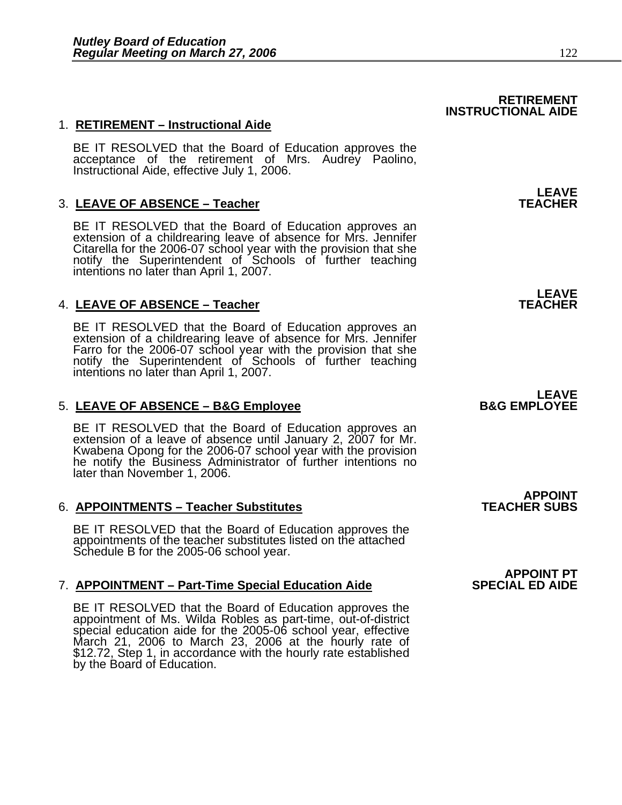### 1. **RETIREMENT – Instructional Aide**

BE IT RESOLVED that the Board of Education approves the<br>acceptance of the retirement of Mrs. Audrey Paolino, Instructional Aide, effective July 1, 2006.

### **3. LEAVE OF ABSENCE - Teacher**

BE IT RESOLVED that the Board of Education approves an extension of a childrearing leave of absence for Mrs. Jennifer Citarella for the 2006-07 school year with the provision that she notify the Superintendent of Schools of further teaching intentions no later than April 1, 2007.

### **4. LEAVE OF ABSENCE - Teacher**

BE IT RESOLVED that the Board of Education approves an extension of a childrearing leave of absence for Mrs. Jennifer Farro for the 2006-07 school year with the provision that she notify the Superintendent of Schools of further teaching intentions no later than April 1, 2007.

#### 5. LEAVE OF ABSENCE - B&G Employee

BE IT RESOLVED that the Board of Education approves an extension of a leave of absence until January 2, 2007 for Mr.<br>Kwabena Opong for the 2006-07 school year with the provision<br>he notify the Business Administrator of furt later than November 1, 2006.

#### 6. **APPOINTMENTS – Teacher Substitutes**

BE IT RESOLVED that the Board of Education approves the appointments of the teacher substitutes listed on the attached Schedule B for the 2005-06 school year.

#### **7. APPOINTMENT – Part-Time Special Education Aide**

BE IT RESOLVED that the Board of Education approves the appointment of Ms. Wilda Robles as part-time, out-of-district special education aide for the 2005-06 school year, effective March 21, 2006 to March 23, 2006 at the hourly rate of \$12.72, Step 1, in accordance with the hourly rate established by the Board of Education.

**LEAVE**<br>TEACHER

**RETIREMENT** 

**INSTRUCTIONAL AIDE** 

**LEAVE**<br>TEACHER

## **LEAVE**<br>B&G EMPLOYEE

**APPOINT<br>TEACHER SUBS** 

### **APPOINT PT<br>SPECIAL ED AIDE**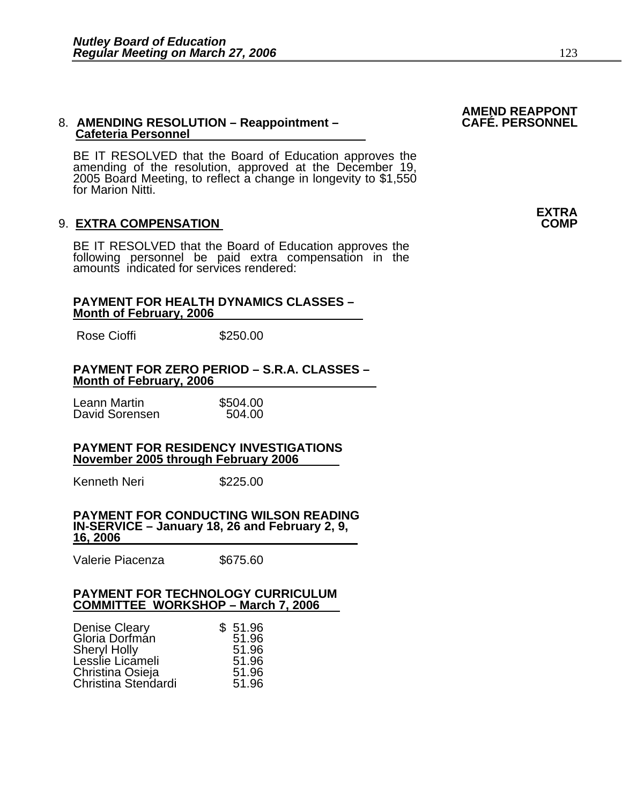## 8. AMENDING RESOLUTION – Reappointment –<br>Cafeteria Personnel

BE IT RESOLVED that the Board of Education approves the amending of the resolution, approved at the December 19, 2005 Board Meeting, to reflect a change in longevity to \$1,550 for Marion Nitti.

#### 9. **EXTRA COMPENSATION**

BE IT RESOLVED that the Board of Education approves the following personnel be paid extra compensation in the amounts indicated for services rendered:

#### **PAYMENT FOR HEALTH DYNAMICS CLASSES – Month of February, 2006**

Rose Cioffi 5250.00

#### **PAYMENT FOR ZERO PERIOD – S.R.A. CLASSES – Month of February, 2006**

Leann Martin **\$504.00**<br>David Sorensen 604.00 David Sorensen

#### **PAYMENT FOR RESIDENCY INVESTIGATIONS November 2005 through February 2006**

Kenneth Neri \$225.00

#### **PAYMENT FOR CONDUCTING WILSON READING IN-SERVICE – January 18, 26 and February 2, 9, 16, 2006**

Valerie Piacenza \$675.60

#### **PAYMENT FOR TECHNOLOGY CURRICULUM COMMITTEE WORKSHOP – March 7, 2006**

| <b>Denise Cleary</b> | \$51.96 |
|----------------------|---------|
| Gloria Dorfman       | 51.96   |
| <b>Sheryl Holly</b>  | 51.96   |
| Lesslie Licameli     | 51.96   |
| Christina Osieja     | 51.96   |
| Christina Stendardi  | 51.96   |

### **AMEND REAPPONT**

**EXTRA**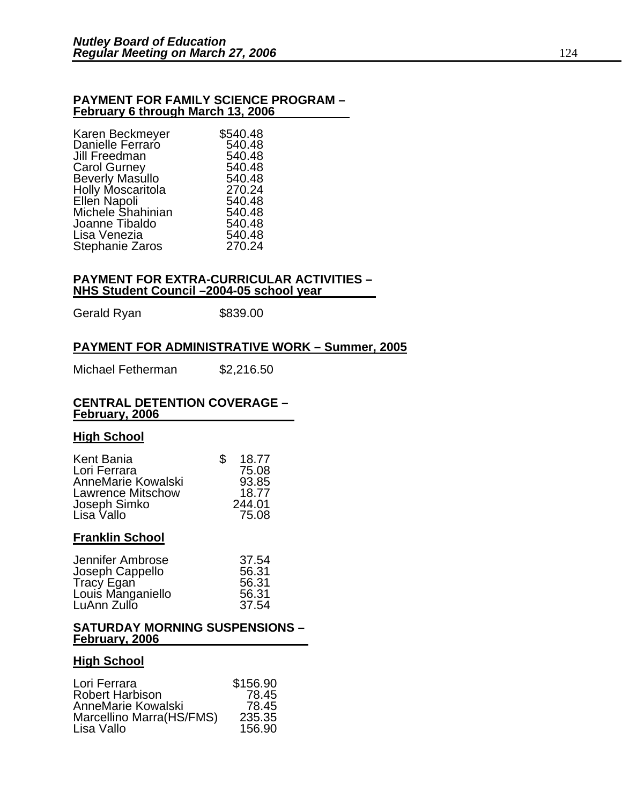#### **PAYMENT FOR FAMILY SCIENCE PROGRAM – February 6 through March 13, 2006**

| Karen Beckmeyer                      | \$540.48 |
|--------------------------------------|----------|
| Danielle Ferraro                     | 540.48   |
| Jill Freedman                        | 540.48   |
| <b>Carol Gurney</b>                  | 540.48   |
| Beverly Masullo<br>Holly Moscaritola | 540.48   |
|                                      | 270.24   |
| Ellen Napoli                         | 540.48   |
| <b>Michele Shahinian</b>             | 540.48   |
| Joanne Tibaldo                       | 540.48   |
| Lisa Venezia                         | 540.48   |
| Stephanie Zaros                      | 270.24   |
|                                      |          |

#### **PAYMENT FOR EXTRA-CURRICULAR ACTIVITIES – NHS Student Council –2004-05 school year**

Gerald Ryan \$839.00

#### **PAYMENT FOR ADMINISTRATIVE WORK – Summer, 2005**

Michael Fetherman \$2,216.50

#### **CENTRAL DETENTION COVERAGE – February, 2006**

#### **High School**

| Kent Bania               | S | 18.77  |
|--------------------------|---|--------|
| Lori Ferrara             |   | 75.08  |
| AnneMarie Kowalski       |   | 93.85  |
| <b>Lawrence Mitschow</b> |   | 18.77  |
| Joseph Simko             |   | 244.01 |
| Lisa Vallo               |   | 75.08  |

#### **Franklin School**

| Jennifer Ambrose                | 37.54 |
|---------------------------------|-------|
| Joseph Cappello                 | 56.31 |
|                                 | 56.31 |
| Tracy Egan<br>Louis Manganiello | 56.31 |
| LuAnn Zullo                     | 37.54 |

#### **SATURDAY MORNING SUSPENSIONS – February, 2006**

#### **High School**

| Lori Ferrara             | \$156.90 |
|--------------------------|----------|
| <b>Robert Harbison</b>   | 78.45    |
| AnneMarie Kowalski       | 78.45    |
| Marcellino Marra(HS/FMS) | 235.35   |
| Lisa Vallo               | 156.90   |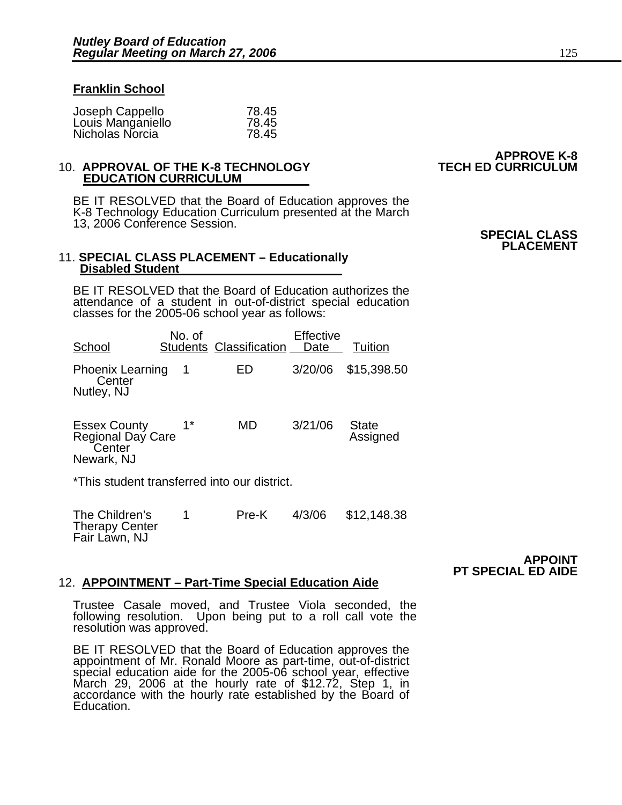#### **Franklin School**

| Joseph Cappello   | 78.45 |
|-------------------|-------|
| Louis Manganiello | 78.45 |
| Nicholas Norcia   | 78.45 |

### **EDUCATION CURRICULUM**

BE IT RESOLVED that the Board of Education approves the K-8 Technology Education Curriculum presented at the March 13, 2006 Conference Session.

#### 11. **SPECIAL CLASS PLACEMENT – Educationally Disabled Student**

BE IT RESOLVED that the Board of Education authorizes the attendance of a student in out-of-district special education classes for the 2005-06 school year as follows:

| School                                          | No. of | <b>Students Classification</b> | Effective<br>Date | Tuition             |
|-------------------------------------------------|--------|--------------------------------|-------------------|---------------------|
| <b>Phoenix Learning</b><br>Center<br>Nutley, NJ |        | FD.                            |                   | 3/20/06 \$15,398.50 |

| <b>Essex County</b><br>Regional Day Care<br>Center | $1*$ | MD | 3/21/06 | <b>State</b><br>Assigned |
|----------------------------------------------------|------|----|---------|--------------------------|
| Newark, NJ                                         |      |    |         |                          |

\*This student transferred into our district.

| The Children's        | Pre-K | 4/3/06 | \$12,148.38 |
|-----------------------|-------|--------|-------------|
| <b>Therapy Center</b> |       |        |             |
| Fair Lawn, NJ         |       |        |             |

#### **APPOINT PT SPECIAL ED AIDE**

#### 12. **APPOINTMENT – Part-Time Special Education Aide**

Trustee Casale moved, and Trustee Viola seconded, the following resolution. Upon being put to a roll call vote the resolution was approved.

BE IT RESOLVED that the Board of Education approves the appointment of Mr. Ronald Moore as part-time, out-of-district special education aide for the 2005-06 school year, effective March 29, 2006 at the hourly rate of \$12.7 accordance with the hourly rate established by the Board of Education.

## **APPROVE K-8** 10. **APPROVAL OF THE K-8 TECHNOLOGY TECH ED CURRICULUM**

#### **SPECIAL CLASS PLACEMENT**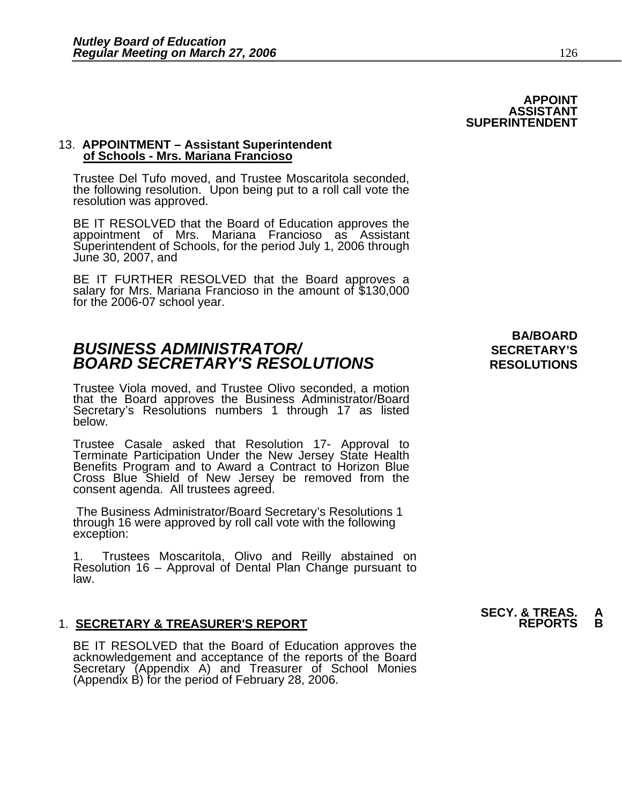#### 13. **APPOINTMENT – Assistant Superintendent of Schools - Mrs. Mariana Francioso**

Trustee Del Tufo moved, and Trustee Moscaritola seconded, the following resolution. Upon being put to a roll call vote the resolution was approved.

BE IT RESOLVED that the Board of Education approves the appointment of Mrs. Mariana Francioso as Assistant Superintendent of Schools, for the period July 1, 2006 through June 30, 2007, and

BE IT FURTHER RESOLVED that the Board approves a salary for Mrs. Mariana Francioso in the amount of \$130,000 for the 2006-07 school year.

### **BUSINESS ADMINISTRATOR/** *BUSINESS ADMINISTRATOR/* **BOARD SECRETARY'S RESOLUTIONS** RESOLUTIONS

Trustee Viola moved, and Trustee Olivo seconded, a motion that the Board approves the Business Administrator/Board Secretary's Resolutions numbers 1 through 17 as listed below.

Trustee Casale asked that Resolution 17- Approval to Terminate Participation Under the New Jersey State Health Benefits Program and to Award a Contract to Horizon Blue Cross Blue Shield of New Jersey be removed from the consent agenda. All trustees agreed.

 The Business Administrator/Board Secretary's Resolutions 1 through 16 were approved by roll call vote with the following exception:

Trustees Moscaritola, Olivo and Reilly abstained on Resolution 16 – Approval of Dental Plan Change pursuant to law.

#### 1. **SECRETARY & TREASURER'S REPORT REPORTS B**

BE IT RESOLVED that the Board of Education approves the<br>acknowledgement and acceptance of the reports of the Board<br>Secretary (Appendix A) and Treasurer of School Monies (Appendix B) for the period of February 28, 2006.

**BA/BOARD** 

## **SECY. & TREAS. A**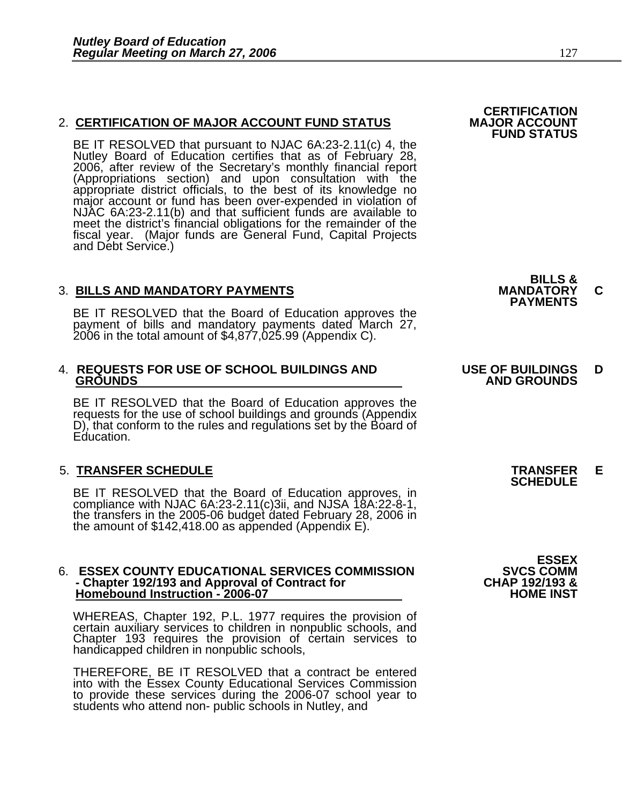### 2. CERTIFICATION OF MAJOR ACCOUNT FUND STATUS

BE IT RESOLVED that pursuant to NJAC 6A:23-2.11(c) 4, the Nutley Board of Education certifies that as of February 28, 2006, after review of the Secretary's monthly financial report (Appropriations section) and upon consult appropriate district officials, to the best of its knowledge no<br>major account or fund has been over-expended in violation of<br>NJAC 6A:23-2.11(b) and that sufficient funds are available to meet the district's financial obligations for the remainder of the fiscal year. (Major funds are General Fund, Capital Projects and Debt Service.)

3. BILLS AND MANDATORY PAYMENTS<br>
BE IT RESOLVED that the Board of Education approves the **PAYMENTS** payment of bills and mandatory payments dated March 27, 2006 in the total amount of \$4,877,025.99 (Appendix C).

### 4. **REQUESTS FOR USE OF SCHOOL BUILDINGS AND USE OF BUILDINGS D**

BE IT RESOLVED that the Board of Education approves the requests for the use of school buildings and grounds (Appendix D), that conform to the rules and regulations set by the Board of Education.

### 5. **TRANSFER SCHEDULE TRANSFER E SCHEDULE**

BE IT RESOLVED that the Board of Education approves, in compliance with NJAC 6A:23-2.11(c)3ii, and NJSA 18A:22-8-1, the transfers in the 2005-06 budget dated February 28, 2006 in the amount of \$142,418.00 as appended (Appe

#### 6. **ESSEX COUNTY EDUCATIONAL SERVICES COMMISSION SVCS COMM - Chapter 192/193 and Approval of Contract for CHAP 192/193 & Homebound Instruction - 2006-07**

WHEREAS, Chapter 192, P.L. 1977 requires the provision of certain auxiliary services to children in nonpublic schools, and Chapter 193 requires the provision of certain services to handicapped children in nonpublic schools,

THEREFORE, BE IT RESOLVED that a contract be entered into with the Essex County Educational Services Commission to provide these services during the 2006-07 school year to students who attend non- public schools in Nutley, and **BILLS &** 

**CERTIFICATION<br>MAJOR ACCOUNT** 

**FUND STATUS** 

### **GROUNDS AND GROUNDS**

**ESSEX**<br>SVCS COMM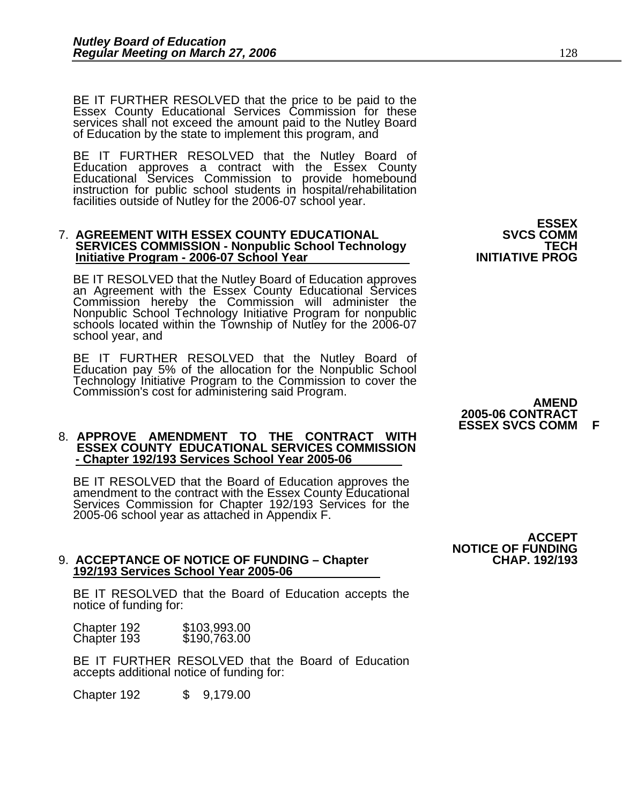BE IT FURTHER RESOLVED that the price to be paid to the Essex County Educational Services Commission for these services shall not exceed the amount paid to the Nutley Board<br>of Education by the state to implement this program, and

BE IT FURTHER RESOLVED that the Nutley Board of Education approves a contract with the Essex County Educational Services Commission to provide homebound instruction for public school students in hospital/rehabilitation facilities outside of Nutley for the 2006-07 school year.

### **7. AGREEMENT WITH ESSEX COUNTY EDUCATIONAL SERVICES COMMISSION - Nonpublic School Technology TECH SERVICES COMMISSION - Nonpublic School Technology** TECH INITIATIVE PROG

BE IT RESOLVED that the Nutley Board of Education approves an Agreement with the Essex County Educational Services Commission hereby the Commission will administer the Nonpublic School Technology Initiative Program for nonpublic schools located within the Township of Nutley for the 2006-07 school year, and

BE IT FURTHER RESOLVED that the Nutley Board of Education pay 5% of the allocation for the Nonpublic School Technology Initiative Program to the Commission to cover the Commission's cost for administering said Program. **AMEND** 

#### 8. **APPROVE AMENDMENT TO THE CONTRACT WITH ESSEX COUNTY EDUCATIONAL SERVICES COMMISSION - Chapter 192/193 Services School Year 2005-06**

BE IT RESOLVED that the Board of Education approves the<br>amendment to the contract with the Essex County Educational<br>Services Commission for Chapter 192/193 Services for the 2005-06 school year as attached in Appendix F.

## 9. ACCEPTANCE OF NOTICE OF FUNDING – Chapter<br>192/193 Services School Year 2005-06

BE IT RESOLVED that the Board of Education accepts the notice of funding for:

| Chapter 192 | \$103,993.00 |
|-------------|--------------|
| Chapter 193 | \$190,763.00 |

BE IT FURTHER RESOLVED that the Board of Education accepts additional notice of funding for:

Chapter 192 \$ 9,179.00

# **ESSEX<br>SVCS COMM**

### **2005-06 CONTRACT ESSEX SVCS COMM**

 **ACCEPT NOTICE OF FUNDING**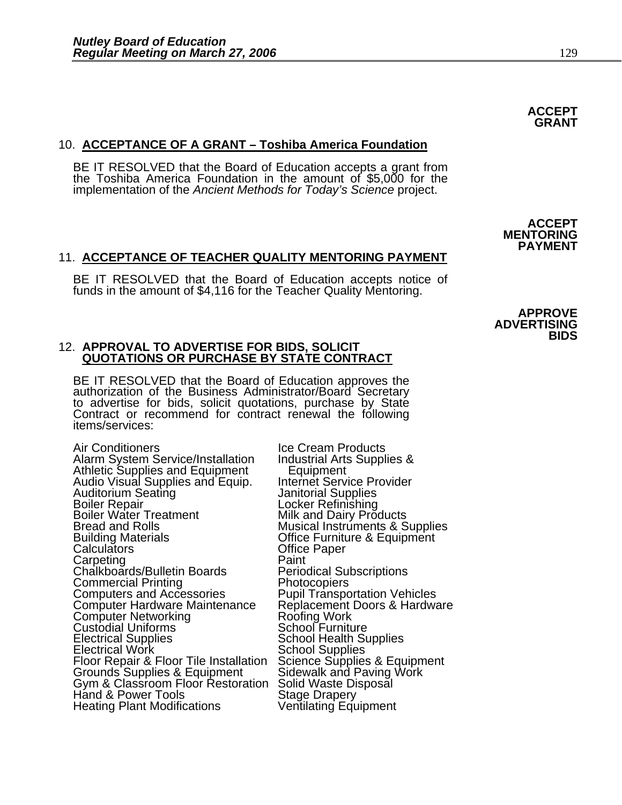### 10. **ACCEPTANCE OF A GRANT – Toshiba America Foundation**

BE IT RESOLVED that the Board of Education accepts a grant from the Toshiba America Foundation in the amount of \$5,000 for the implementation of the *Ancient Methods for Today's Science* project.

**ACCEPT** 

#### 11. **ACCEPTANCE OF TEACHER QUALITY MENTORING PAYMENT**

BE IT RESOLVED that the Board of Education accepts notice of funds in the amount of \$4,116 for the Teacher Quality Mentoring.

#### 12. **APPROVAL TO ADVERTISE FOR BIDS, SOLICIT QUOTATIONS OR PURCHASE BY STATE CONTRACT**

BE IT RESOLVED that the Board of Education approves the authorization of the Business Administrator/Board Secretary to advertise for bids, solicit quotations, purchase by State Contract or recommend for contract renewal the following items/services:

Air Conditioners<br>Alarm System Service/Installation Industrial Arts Supplies & Alarm System Service/Installation Athletic Supplies and Equipment<br>
Audio Visual Supplies and Equip. Internet Serv<br>
Auditorium Seating<br>
Janitorial Sup Boiler Repair Controller Refinishing Boiler Water Treatment Milk and Dairy Products Bread and Rolls **Musical Instruments & Supplies**<br>Building Materials **Musical Contract Contract Contract Contract** Contract Building Materials Building Materials **Calculators** Office Furniture & Equipment Calculators **Calculators** Office Paper<br>
Carpeting **Calculators** Paint Carpeting Paint<br>Chalkboards/Bulletin Boards Periodical Subscriptions Chalkboards/Bulletin Boards Periodical Su<br>Commercial Printing Photocopiers<br>Computers and Accessories Pupil Transpo Computer Hardware Maintenance Replacement<br>Computer Networking Roofing Work **Custodial Uniforms**<br>Electrical Supplies Electrical Uniforms<br>
Electrical Supplies<br>
Electrical Work School Health Supplies<br>
Floor Repair & Floor Tile Installation Science Supplies & Equipment Floor Repair & Floor Tile Installation Science Supplies & Equipm<br>Grounds Supplies & Equipment Sidewalk and Paving Work<br>Gym & Classroom Floor Restoration Solid Waste Disposal<br>Hand & Power Tools Stage Drapery Hand & Power Tools Stage Drapery<br>Heating Plant Modifications Stage Drapery Heating Plant Modifications

Internet Service Provider<br>Janitorial Supplies<br>Locker Refinishing Pupil Transportation Vehicles<br>Replacement Doors & Hardware

 **APPROVE ADVERTISING BIDS** 

**MENTORING PAYMENT**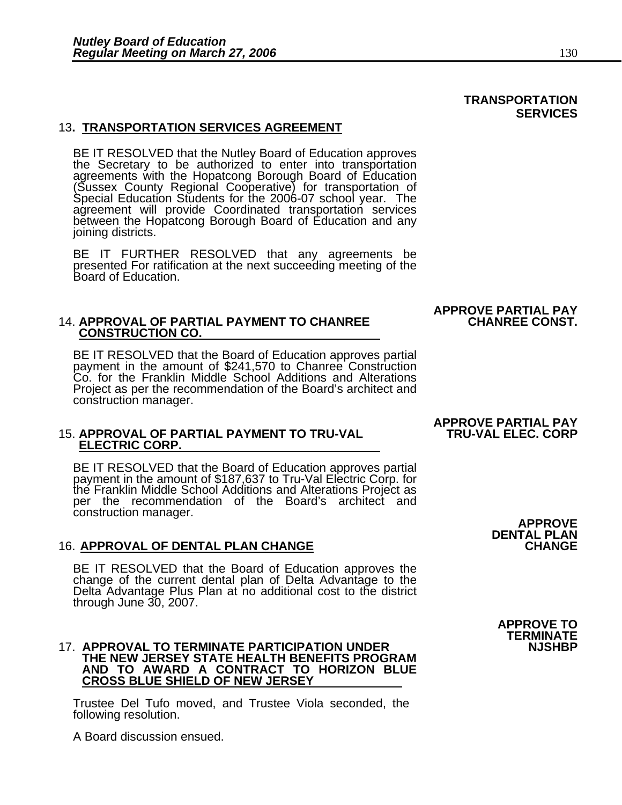### 13**. TRANSPORTATION SERVICES AGREEMENT**

BE IT RESOLVED that the Nutley Board of Education approves<br>the Secretary to be authorized to enter into transportation<br>agreements with the Hopatcong Borough Board of Education<br>(Sussex County Regional Cooperative) for trans agreement will provide Coordinated transportation services between the Hopatcong Borough Board of Education and any joining districts.

BE IT FURTHER RESOLVED that any agreements be presented For ratification at the next succeeding meeting of the Board of Education.

## 14. APPROVAL OF PARTIAL PAYMENT TO CHANREE **CHANREE CONST.**<br>CONSTRUCTION CO.

BE IT RESOLVED that the Board of Education approves partial payment in the amount of \$241,570 to Chanree Construction Co. for the Franklin Middle School Additions and Alterations Project as per the recommendation of the Board's architect and construction manager.

### 15. **APPROVAL OF PARTIAL PAYMENT TO TRU-VAL TRU-VAL ELEC. CORP ELECTRIC CORP.**

BE IT RESOLVED that the Board of Education approves partial payment in the amount of \$187,637 to Tru-Val Electric Corp. for the Franklin Middle School Additions and Alterations Project as<br>per the recommendation of the Board's architect and **Construction manager.**<br> **APPROVE** 

#### 16. **APPROVAL OF DENTAL PLAN CHANGE CHANGE**

BE IT RESOLVED that the Board of Education approves the change of the current dental plan of Delta Advantage to the Delta Advantage Plus Plan at no additional cost to the district through June 30, 2007.

#### 17. **APPROVAL TO TERMINATE PARTICIPATION UNDER THE NEW JERSEY STATE HEALTH BENEFITS PROGRAM AND TO AWARD A CONTRACT TO HORIZON BLUE CROSS BLUE SHIELD OF NEW JERSEY**

Trustee Del Tufo moved, and Trustee Viola seconded, the following resolution.

A Board discussion ensued.

### **APPROVE PARTIAL PAY**

**APPROVE TO** 

**DENTAL PLAN<br>CHANGE** 

### **TERMINATE**

### **APPROVE PARTIAL PAY**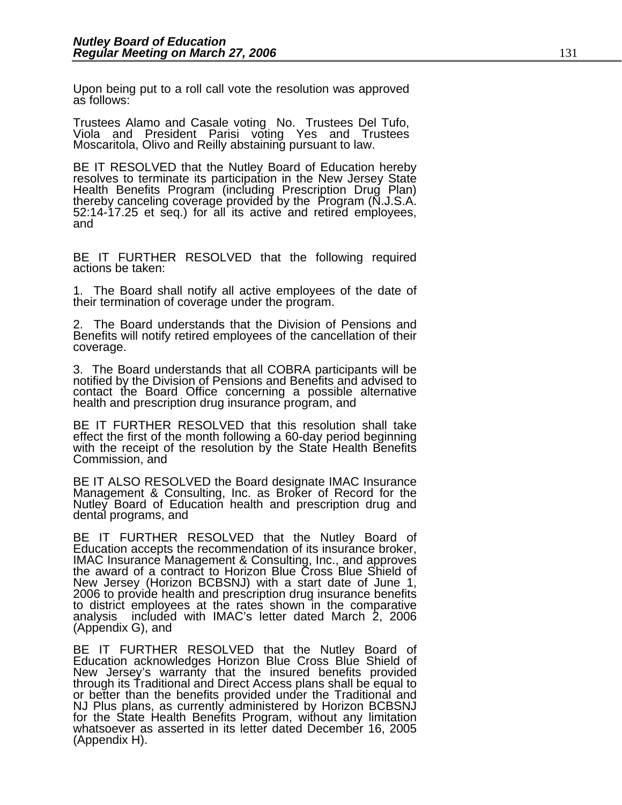Upon being put to a roll call vote the resolution was approved as follows:

Trustees Alamo and Casale voting No. Trustees Del Tufo, Viola and President Parisi voting Yes and Trustees Moscaritola, Olivo and Reilly abstaining pursuant to law.

BE IT RESOLVED that the Nutley Board of Education hereby<br>resolves to terminate its participation in the New Jersey State<br>Health Benefits Program (including Prescription Drug Plan)<br>thereby canceling coverage provided by the

BE IT FURTHER RESOLVED that the following required actions be taken:

1. The Board shall notify all active employees of the date of their termination of coverage under the program.

2. The Board understands that the Division of Pensions and Benefits will notify retired employees of the cancellation of their coverage.

3. The Board understands that all COBRA participants will be notified by the Division of Pensions and Benefits and advised to contact the Board Office concerning a possible alternative health and prescription drug insurance program, and

BE IT FURTHER RESOLVED that this resolution shall take effect the first of the month following a 60-day period beginning with the receipt of the resolution by the State Health Benefits Commission, and

BE IT ALSO RESOLVED the Board designate IMAC Insurance<br>Management & Consulting, Inc. as Broker of Record for the Nutley Board of Education health and prescription drug and dental programs, and

BE IT FURTHER RESOLVED that the Nutley Board of Education accepts the recommendation of its insurance broker, IMAC Insurance Management & Consulting, Inc., and approves the award of a contract to Horizon Blue Cross Blue Shield of New Jersey (Horizon BCBSNJ) with a start date of June 1, 2006 to provide health and prescription drug insurance benefits to district employees at the rates shown in the comparative analysis included with IMAC's letter dated March 2, 2006 (Appendix G), and

BE IT FURTHER RESOLVED that the Nutley Board of Education acknowledges Horizon Blue Cross Blue Shield of New Jersey's warranty that the insured benefits provided New Jersey's warranty that the insured benefits provided through its Traditional and Direct Access plans shall be equal to or better than the benefits provided under the Traditional and NJ Plus plans, as currently administered by Horizon BCBSNJ for the State Health Benefits Program, without any limitation whatsoever as asserted in its letter dated December 16, 2005 (Appendix H).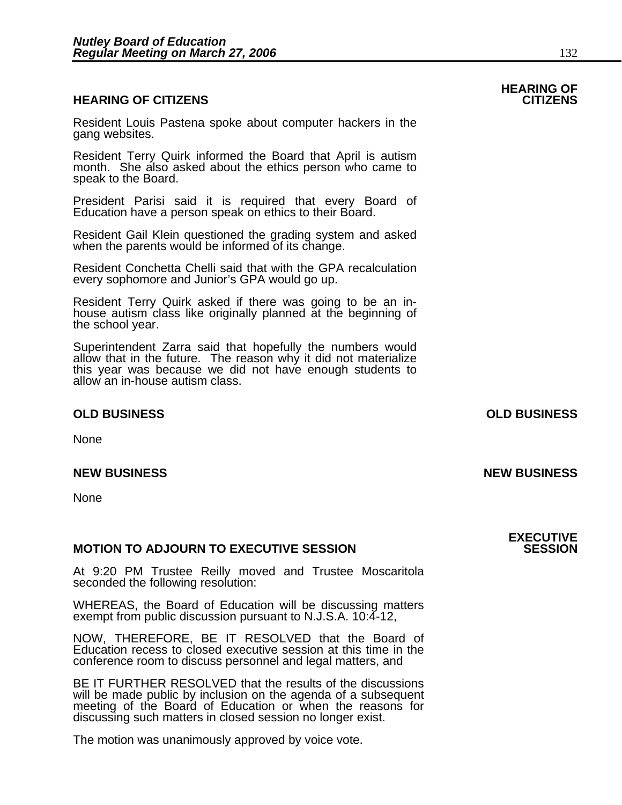#### **HEARING OF CITIZENS CITIZENS**

Resident Louis Pastena spoke about computer hackers in the gang websites.

Resident Terry Quirk informed the Board that April is autism month. She also asked about the ethics person who came to speak to the Board.

President Parisi said it is required that every Board of Education have a person speak on ethics to their Board.

Resident Gail Klein questioned the grading system and asked when the parents would be informed of its change.

Resident Conchetta Chelli said that with the GPA recalculation every sophomore and Junior's GPA would go up.

Resident Terry Quirk asked if there was going to be an in- house autism class like originally planned at the beginning of the school year.

Superintendent Zarra said that hopefully the numbers would allow that in the future. The reason why it did not materialize this year was because we did not have enough students to<br>allow an in-house autism class.

#### **OLD BUSINESS OLD BUSINESS**

None

#### **NEW BUSINESS NEW BUSINESS**

None

#### **MOTION TO ADJOURN TO EXECUTIVE SESSION**

At 9:20 PM Trustee Reilly moved and Trustee Moscaritola seconded the following resolution:

WHEREAS, the Board of Education will be discussing matters exempt from public discussion pursuant to N.J.S.A. 10:4-12,

NOW, THEREFORE, BE IT RESOLVED that the Board of Education recess to closed executive session at this time in the conference room to discuss personnel and legal matters, and

BE IT FURTHER RESOLVED that the results of the discussions will be made public by inclusion on the agenda of a subsequent meeting of the Board of Education or when the reasons for discussing such matters in closed session no longer exist.

The motion was unanimously approved by voice vote.

# **HEARING OF**

### **EXECUTIVE**